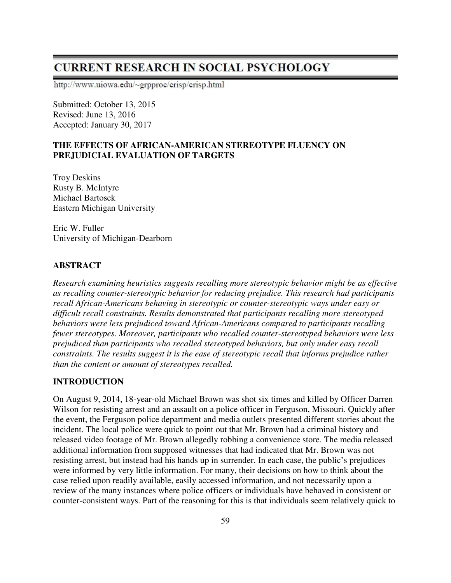# **CURRENT RESEARCH IN SOCIAL PSYCHOLOGY**

http://www.uiowa.edu/~grpproc/crisp/crisp.html

Submitted: October 13, 2015 Revised: June 13, 2016 Accepted: January 30, 2017

# **THE EFFECTS OF AFRICAN-AMERICAN STEREOTYPE FLUENCY ON PREJUDICIAL EVALUATION OF TARGETS**

Troy Deskins Rusty B. McIntyre Michael Bartosek Eastern Michigan University

Eric W. Fuller University of Michigan-Dearborn

## **ABSTRACT**

*Research examining heuristics suggests recalling more stereotypic behavior might be as effective as recalling counter-stereotypic behavior for reducing prejudice. This research had participants recall African-Americans behaving in stereotypic or counter-stereotypic ways under easy or difficult recall constraints. Results demonstrated that participants recalling more stereotyped behaviors were less prejudiced toward African-Americans compared to participants recalling fewer stereotypes. Moreover, participants who recalled counter-stereotyped behaviors were less prejudiced than participants who recalled stereotyped behaviors, but only under easy recall constraints. The results suggest it is the ease of stereotypic recall that informs prejudice rather than the content or amount of stereotypes recalled.* 

# **INTRODUCTION**

On August 9, 2014, 18-year-old Michael Brown was shot six times and killed by Officer Darren Wilson for resisting arrest and an assault on a police officer in Ferguson, Missouri. Quickly after the event, the Ferguson police department and media outlets presented different stories about the incident. The local police were quick to point out that Mr. Brown had a criminal history and released video footage of Mr. Brown allegedly robbing a convenience store. The media released additional information from supposed witnesses that had indicated that Mr. Brown was not resisting arrest, but instead had his hands up in surrender. In each case, the public's prejudices were informed by very little information. For many, their decisions on how to think about the case relied upon readily available, easily accessed information, and not necessarily upon a review of the many instances where police officers or individuals have behaved in consistent or counter-consistent ways. Part of the reasoning for this is that individuals seem relatively quick to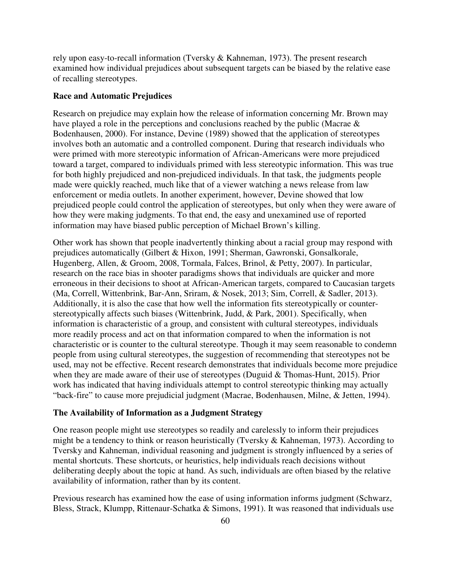rely upon easy-to-recall information (Tversky & Kahneman, 1973). The present research examined how individual prejudices about subsequent targets can be biased by the relative ease of recalling stereotypes.

### **Race and Automatic Prejudices**

Research on prejudice may explain how the release of information concerning Mr. Brown may have played a role in the perceptions and conclusions reached by the public (Macrae & Bodenhausen, 2000). For instance, Devine (1989) showed that the application of stereotypes involves both an automatic and a controlled component. During that research individuals who were primed with more stereotypic information of African-Americans were more prejudiced toward a target, compared to individuals primed with less stereotypic information. This was true for both highly prejudiced and non-prejudiced individuals. In that task, the judgments people made were quickly reached, much like that of a viewer watching a news release from law enforcement or media outlets. In another experiment, however, Devine showed that low prejudiced people could control the application of stereotypes, but only when they were aware of how they were making judgments. To that end, the easy and unexamined use of reported information may have biased public perception of Michael Brown's killing.

Other work has shown that people inadvertently thinking about a racial group may respond with prejudices automatically (Gilbert & Hixon, 1991; Sherman, Gawronski, Gonsalkorale, Hugenberg, Allen, & Groom, 2008, Tormala, Falces, Brinol, & Petty, 2007). In particular, research on the race bias in shooter paradigms shows that individuals are quicker and more erroneous in their decisions to shoot at African-American targets, compared to Caucasian targets (Ma, Correll, Wittenbrink, Bar-Ann, Sriram, & Nosek, 2013; Sim, Correll, & Sadler, 2013). Additionally, it is also the case that how well the information fits stereotypically or counterstereotypically affects such biases (Wittenbrink, Judd, & Park, 2001). Specifically, when information is characteristic of a group, and consistent with cultural stereotypes, individuals more readily process and act on that information compared to when the information is not characteristic or is counter to the cultural stereotype. Though it may seem reasonable to condemn people from using cultural stereotypes, the suggestion of recommending that stereotypes not be used, may not be effective. Recent research demonstrates that individuals become more prejudice when they are made aware of their use of stereotypes (Duguid & Thomas-Hunt, 2015). Prior work has indicated that having individuals attempt to control stereotypic thinking may actually "back-fire" to cause more prejudicial judgment (Macrae, Bodenhausen, Milne, & Jetten, 1994).

## **The Availability of Information as a Judgment Strategy**

One reason people might use stereotypes so readily and carelessly to inform their prejudices might be a tendency to think or reason heuristically (Tversky & Kahneman, 1973). According to Tversky and Kahneman, individual reasoning and judgment is strongly influenced by a series of mental shortcuts. These shortcuts, or heuristics, help individuals reach decisions without deliberating deeply about the topic at hand. As such, individuals are often biased by the relative availability of information, rather than by its content.

Previous research has examined how the ease of using information informs judgment (Schwarz, Bless, Strack, Klumpp, Rittenaur-Schatka & Simons, 1991). It was reasoned that individuals use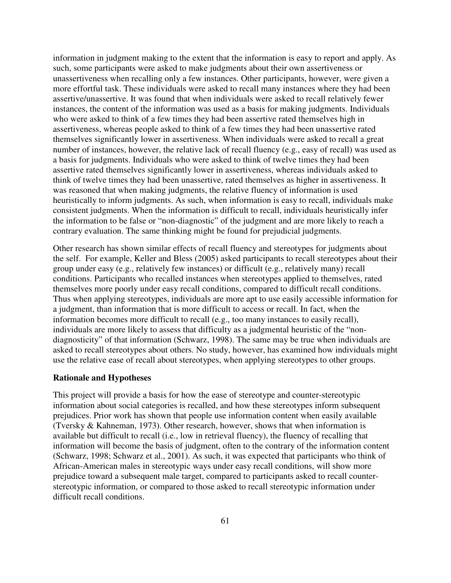information in judgment making to the extent that the information is easy to report and apply. As such, some participants were asked to make judgments about their own assertiveness or unassertiveness when recalling only a few instances. Other participants, however, were given a more effortful task. These individuals were asked to recall many instances where they had been assertive/unassertive. It was found that when individuals were asked to recall relatively fewer instances, the content of the information was used as a basis for making judgments. Individuals who were asked to think of a few times they had been assertive rated themselves high in assertiveness, whereas people asked to think of a few times they had been unassertive rated themselves significantly lower in assertiveness. When individuals were asked to recall a great number of instances, however, the relative lack of recall fluency (e.g., easy of recall) was used as a basis for judgments. Individuals who were asked to think of twelve times they had been assertive rated themselves significantly lower in assertiveness, whereas individuals asked to think of twelve times they had been unassertive, rated themselves as higher in assertiveness. It was reasoned that when making judgments, the relative fluency of information is used heuristically to inform judgments. As such, when information is easy to recall, individuals make consistent judgments. When the information is difficult to recall, individuals heuristically infer the information to be false or "non-diagnostic" of the judgment and are more likely to reach a contrary evaluation. The same thinking might be found for prejudicial judgments.

Other research has shown similar effects of recall fluency and stereotypes for judgments about the self. For example, Keller and Bless (2005) asked participants to recall stereotypes about their group under easy (e.g., relatively few instances) or difficult (e.g., relatively many) recall conditions. Participants who recalled instances when stereotypes applied to themselves, rated themselves more poorly under easy recall conditions, compared to difficult recall conditions. Thus when applying stereotypes, individuals are more apt to use easily accessible information for a judgment, than information that is more difficult to access or recall. In fact, when the information becomes more difficult to recall (e.g., too many instances to easily recall), individuals are more likely to assess that difficulty as a judgmental heuristic of the "nondiagnosticity" of that information (Schwarz, 1998). The same may be true when individuals are asked to recall stereotypes about others. No study, however, has examined how individuals might use the relative ease of recall about stereotypes, when applying stereotypes to other groups.

#### **Rationale and Hypotheses**

This project will provide a basis for how the ease of stereotype and counter-stereotypic information about social categories is recalled, and how these stereotypes inform subsequent prejudices. Prior work has shown that people use information content when easily available (Tversky & Kahneman, 1973). Other research, however, shows that when information is available but difficult to recall (i.e., low in retrieval fluency), the fluency of recalling that information will become the basis of judgment, often to the contrary of the information content (Schwarz, 1998; Schwarz et al., 2001). As such, it was expected that participants who think of African-American males in stereotypic ways under easy recall conditions, will show more prejudice toward a subsequent male target, compared to participants asked to recall counterstereotypic information, or compared to those asked to recall stereotypic information under difficult recall conditions.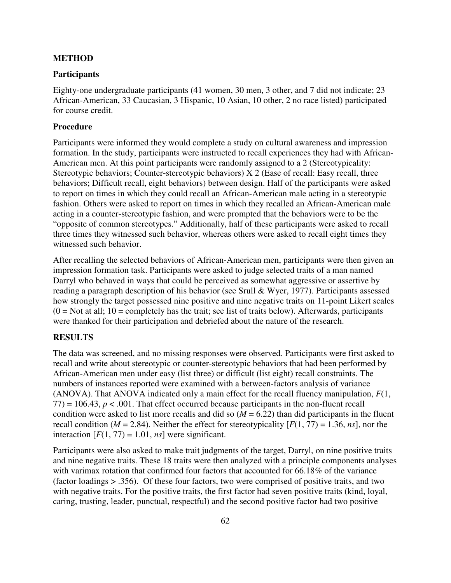### **METHOD**

#### **Participants**

Eighty-one undergraduate participants (41 women, 30 men, 3 other, and 7 did not indicate; 23 African-American, 33 Caucasian, 3 Hispanic, 10 Asian, 10 other, 2 no race listed) participated for course credit.

## **Procedure**

Participants were informed they would complete a study on cultural awareness and impression formation. In the study, participants were instructed to recall experiences they had with African-American men. At this point participants were randomly assigned to a 2 (Stereotypicality: Stereotypic behaviors; Counter-stereotypic behaviors) X 2 (Ease of recall: Easy recall, three behaviors; Difficult recall, eight behaviors) between design. Half of the participants were asked to report on times in which they could recall an African-American male acting in a stereotypic fashion. Others were asked to report on times in which they recalled an African-American male acting in a counter-stereotypic fashion, and were prompted that the behaviors were to be the "opposite of common stereotypes." Additionally, half of these participants were asked to recall three times they witnessed such behavior, whereas others were asked to recall eight times they witnessed such behavior.

After recalling the selected behaviors of African-American men, participants were then given an impression formation task. Participants were asked to judge selected traits of a man named Darryl who behaved in ways that could be perceived as somewhat aggressive or assertive by reading a paragraph description of his behavior (see Srull & Wyer, 1977). Participants assessed how strongly the target possessed nine positive and nine negative traits on 11-point Likert scales  $(0 = Not at all; 10 = completely has the trait; see list of traits below). Afterwards, participants$ were thanked for their participation and debriefed about the nature of the research.

## **RESULTS**

The data was screened, and no missing responses were observed. Participants were first asked to recall and write about stereotypic or counter-stereotypic behaviors that had been performed by African-American men under easy (list three) or difficult (list eight) recall constraints. The numbers of instances reported were examined with a between-factors analysis of variance (ANOVA). That ANOVA indicated only a main effect for the recall fluency manipulation, *F*(1,  $77$ ) = 106.43,  $p < .001$ . That effect occurred because participants in the non-fluent recall condition were asked to list more recalls and did so  $(M = 6.22)$  than did participants in the fluent recall condition ( $M = 2.84$ ). Neither the effect for stereotypicality  $[F(1, 77) = 1.36, ns]$ , nor the interaction  $[F(1, 77) = 1.01$ , *ns*] were significant.

Participants were also asked to make trait judgments of the target, Darryl, on nine positive traits and nine negative traits. These 18 traits were then analyzed with a principle components analyses with varimax rotation that confirmed four factors that accounted for 66.18% of the variance (factor loadings > .356). Of these four factors, two were comprised of positive traits, and two with negative traits. For the positive traits, the first factor had seven positive traits (kind, loyal, caring, trusting, leader, punctual, respectful) and the second positive factor had two positive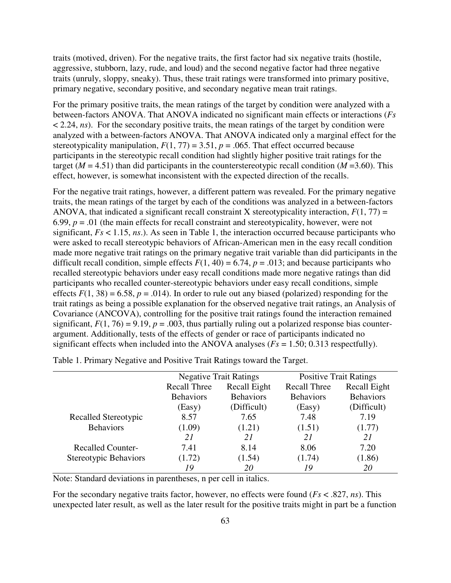traits (motived, driven). For the negative traits, the first factor had six negative traits (hostile, aggressive, stubborn, lazy, rude, and loud) and the second negative factor had three negative traits (unruly, sloppy, sneaky). Thus, these trait ratings were transformed into primary positive, primary negative, secondary positive, and secondary negative mean trait ratings.

For the primary positive traits, the mean ratings of the target by condition were analyzed with a between-factors ANOVA. That ANOVA indicated no significant main effects or interactions (*Fs* < 2.24, *ns*). For the secondary positive traits, the mean ratings of the target by condition were analyzed with a between-factors ANOVA. That ANOVA indicated only a marginal effect for the stereotypicality manipulation,  $F(1, 77) = 3.51$ ,  $p = .065$ . That effect occurred because participants in the stereotypic recall condition had slightly higher positive trait ratings for the target ( $M = 4.51$ ) than did participants in the counterstereotypic recall condition ( $M = 3.60$ ). This effect, however, is somewhat inconsistent with the expected direction of the recalls.

For the negative trait ratings, however, a different pattern was revealed. For the primary negative traits, the mean ratings of the target by each of the conditions was analyzed in a between-factors ANOVA, that indicated a significant recall constraint X stereotypicality interaction,  $F(1, 77) =$ 6.99,  $p = 0.01$  (the main effects for recall constraint and stereotypicality, however, were not significant,  $Fs < 1.15$ ,  $ns$ .). As seen in Table 1, the interaction occurred because participants who were asked to recall stereotypic behaviors of African-American men in the easy recall condition made more negative trait ratings on the primary negative trait variable than did participants in the difficult recall condition, simple effects  $F(1, 40) = 6.74$ ,  $p = .013$ ; and because participants who recalled stereotypic behaviors under easy recall conditions made more negative ratings than did participants who recalled counter-stereotypic behaviors under easy recall conditions, simple effects  $F(1, 38) = 6.58$ ,  $p = .014$ ). In order to rule out any biased (polarized) responding for the trait ratings as being a possible explanation for the observed negative trait ratings, an Analysis of Covariance (ANCOVA), controlling for the positive trait ratings found the interaction remained significant,  $F(1, 76) = 9.19$ ,  $p = .003$ , thus partially ruling out a polarized response bias counterargument. Additionally, tests of the effects of gender or race of participants indicated no significant effects when included into the ANOVA analyses (*Fs* = 1.50; 0.313 respectfully).

|                          | <b>Negative Trait Ratings</b>       |                  | <b>Positive Trait Ratings</b> |                  |  |  |
|--------------------------|-------------------------------------|------------------|-------------------------------|------------------|--|--|
|                          | Recall Eight<br><b>Recall Three</b> |                  | <b>Recall Three</b>           | Recall Eight     |  |  |
|                          | <b>Behaviors</b>                    | <b>Behaviors</b> | <b>Behaviors</b>              | <b>Behaviors</b> |  |  |
|                          | (Easy)                              | (Difficult)      | (Easy)                        | (Difficult)      |  |  |
| Recalled Stereotypic     | 8.57                                | 7.65             | 7.48                          | 7.19             |  |  |
| <b>Behaviors</b>         | (1.09)                              | (1.21)           | (1.51)                        | (1.77)           |  |  |
|                          | 21                                  | 21               | 21                            | 21               |  |  |
| <b>Recalled Counter-</b> | 7.41                                | 8.14             | 8.06                          | 7.20             |  |  |
| Stereotypic Behaviors    | (1.72)                              | (1.54)           | (1.74)                        | (1.86)           |  |  |
|                          | 19                                  | 20               | 19                            | 20               |  |  |

Table 1. Primary Negative and Positive Trait Ratings toward the Target.

Note: Standard deviations in parentheses, n per cell in italics.

For the secondary negative traits factor, however, no effects were found (*Fs* < .827, *ns*). This unexpected later result, as well as the later result for the positive traits might in part be a function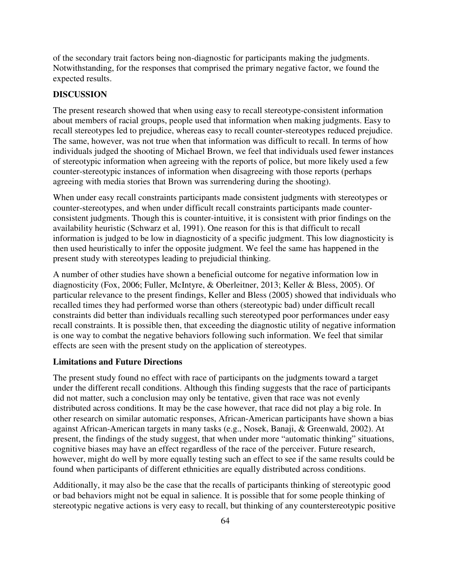of the secondary trait factors being non-diagnostic for participants making the judgments. Notwithstanding, for the responses that comprised the primary negative factor, we found the expected results.

# **DISCUSSION**

The present research showed that when using easy to recall stereotype-consistent information about members of racial groups, people used that information when making judgments. Easy to recall stereotypes led to prejudice, whereas easy to recall counter-stereotypes reduced prejudice. The same, however, was not true when that information was difficult to recall. In terms of how individuals judged the shooting of Michael Brown, we feel that individuals used fewer instances of stereotypic information when agreeing with the reports of police, but more likely used a few counter-stereotypic instances of information when disagreeing with those reports (perhaps agreeing with media stories that Brown was surrendering during the shooting).

When under easy recall constraints participants made consistent judgments with stereotypes or counter-stereotypes, and when under difficult recall constraints participants made counterconsistent judgments. Though this is counter-intuitive, it is consistent with prior findings on the availability heuristic (Schwarz et al, 1991). One reason for this is that difficult to recall information is judged to be low in diagnosticity of a specific judgment. This low diagnosticity is then used heuristically to infer the opposite judgment. We feel the same has happened in the present study with stereotypes leading to prejudicial thinking.

A number of other studies have shown a beneficial outcome for negative information low in diagnosticity (Fox, 2006; Fuller, McIntyre, & Oberleitner, 2013; Keller & Bless, 2005). Of particular relevance to the present findings, Keller and Bless (2005) showed that individuals who recalled times they had performed worse than others (stereotypic bad) under difficult recall constraints did better than individuals recalling such stereotyped poor performances under easy recall constraints. It is possible then, that exceeding the diagnostic utility of negative information is one way to combat the negative behaviors following such information. We feel that similar effects are seen with the present study on the application of stereotypes.

### **Limitations and Future Directions**

The present study found no effect with race of participants on the judgments toward a target under the different recall conditions. Although this finding suggests that the race of participants did not matter, such a conclusion may only be tentative, given that race was not evenly distributed across conditions. It may be the case however, that race did not play a big role. In other research on similar automatic responses, African-American participants have shown a bias against African-American targets in many tasks (e.g., Nosek, Banaji, & Greenwald, 2002). At present, the findings of the study suggest, that when under more "automatic thinking" situations, cognitive biases may have an effect regardless of the race of the perceiver. Future research, however, might do well by more equally testing such an effect to see if the same results could be found when participants of different ethnicities are equally distributed across conditions.

Additionally, it may also be the case that the recalls of participants thinking of stereotypic good or bad behaviors might not be equal in salience. It is possible that for some people thinking of stereotypic negative actions is very easy to recall, but thinking of any counterstereotypic positive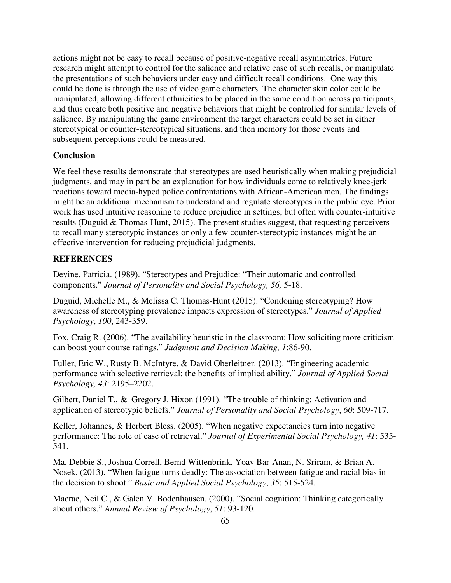actions might not be easy to recall because of positive-negative recall asymmetries. Future research might attempt to control for the salience and relative ease of such recalls, or manipulate the presentations of such behaviors under easy and difficult recall conditions. One way this could be done is through the use of video game characters. The character skin color could be manipulated, allowing different ethnicities to be placed in the same condition across participants, and thus create both positive and negative behaviors that might be controlled for similar levels of salience. By manipulating the game environment the target characters could be set in either stereotypical or counter-stereotypical situations, and then memory for those events and subsequent perceptions could be measured.

# **Conclusion**

We feel these results demonstrate that stereotypes are used heuristically when making prejudicial judgments, and may in part be an explanation for how individuals come to relatively knee-jerk reactions toward media-hyped police confrontations with African-American men. The findings might be an additional mechanism to understand and regulate stereotypes in the public eye. Prior work has used intuitive reasoning to reduce prejudice in settings, but often with counter-intuitive results (Duguid & Thomas-Hunt, 2015). The present studies suggest, that requesting perceivers to recall many stereotypic instances or only a few counter-stereotypic instances might be an effective intervention for reducing prejudicial judgments.

# **REFERENCES**

Devine, Patricia. (1989). "Stereotypes and Prejudice: "Their automatic and controlled components." *Journal of Personality and Social Psychology, 56,* 5-18.

Duguid, Michelle M., & Melissa C. Thomas-Hunt (2015). "Condoning stereotyping? How awareness of stereotyping prevalence impacts expression of stereotypes." *Journal of Applied Psychology*, *100*, 243-359.

Fox, Craig R. (2006). "The availability heuristic in the classroom: How soliciting more criticism can boost your course ratings." *Judgment and Decision Making, 1*:86-90.

Fuller, Eric W., Rusty B. McIntyre, & David Oberleitner. (2013). "Engineering academic performance with selective retrieval: the benefits of implied ability." *Journal of Applied Social Psychology, 43*: 2195–2202.

Gilbert, Daniel T., & Gregory J. Hixon (1991). "The trouble of thinking: Activation and application of stereotypic beliefs." *Journal of Personality and Social Psychology*, *60*: 509-717.

Keller, Johannes, & Herbert Bless. (2005). "When negative expectancies turn into negative performance: The role of ease of retrieval." *Journal of Experimental Social Psychology, 41*: 535- 541.

Ma, Debbie S., Joshua Correll, Bernd Wittenbrink, Yoav Bar-Anan, N. Sriram, & Brian A. Nosek. (2013). "When fatigue turns deadly: The association between fatigue and racial bias in the decision to shoot." *Basic and Applied Social Psychology*, *35*: 515-524.

Macrae, Neil C., & Galen V. Bodenhausen. (2000). "Social cognition: Thinking categorically about others." *Annual Review of Psychology*, *51*: 93-120.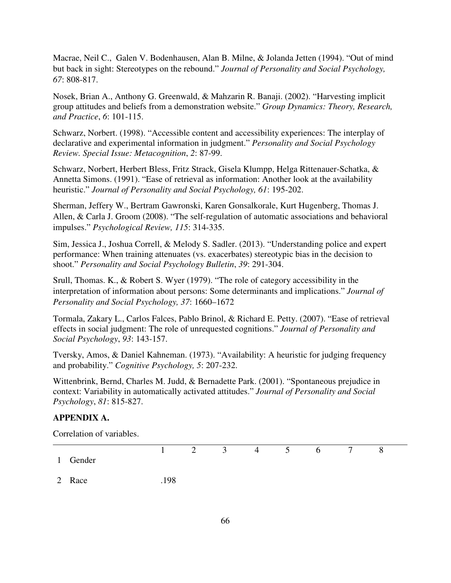Macrae, Neil C., Galen V. Bodenhausen, Alan B. Milne, & Jolanda Jetten (1994). "Out of mind but back in sight: Stereotypes on the rebound." *Journal of Personality and Social Psychology, 67*: 808-817.

Nosek, Brian A., Anthony G. Greenwald, & Mahzarin R. Banaji. (2002). "Harvesting implicit group attitudes and beliefs from a demonstration website." *Group Dynamics: Theory, Research, and Practice*, *6*: 101-115.

Schwarz, Norbert. (1998). "Accessible content and accessibility experiences: The interplay of declarative and experimental information in judgment." *Personality and Social Psychology Review. Special Issue: Metacognition*, *2*: 87-99.

Schwarz, Norbert, Herbert Bless, Fritz Strack, Gisela Klumpp, Helga Rittenauer-Schatka, & Annetta Simons. (1991). "Ease of retrieval as information: Another look at the availability heuristic." *Journal of Personality and Social Psychology, 61*: 195-202.

Sherman, Jeffery W., Bertram Gawronski, Karen Gonsalkorale, Kurt Hugenberg, Thomas J. Allen, & Carla J. Groom (2008). "The self-regulation of automatic associations and behavioral impulses." *Psychological Review, 115*: 314-335.

Sim, Jessica J., Joshua Correll, & Melody S. Sadler. (2013). "Understanding police and expert performance: When training attenuates (vs. exacerbates) stereotypic bias in the decision to shoot." *Personality and Social Psychology Bulletin*, *39*: 291-304.

Srull, Thomas. K., & Robert S. Wyer (1979). "The role of category accessibility in the interpretation of information about persons: Some determinants and implications." *Journal of Personality and Social Psychology, 37*: 1660–1672

Tormala, Zakary L., Carlos Falces, Pablo Brinol, & Richard E. Petty. (2007). "Ease of retrieval effects in social judgment: The role of unrequested cognitions." *Journal of Personality and Social Psychology*, *93*: 143-157.

Tversky, Amos, & Daniel Kahneman. (1973). "Availability: A heuristic for judging frequency and probability." *Cognitive Psychology, 5*: 207-232.

Wittenbrink, Bernd, Charles M. Judd, & Bernadette Park. (2001). "Spontaneous prejudice in context: Variability in automatically activated attitudes." *Journal of Personality and Social Psychology*, *81*: 815-827.

# **APPENDIX A.**

Correlation of variables.

|          |   |  |  | $1 \t2 \t3 \t4 \t5 \t6 \t7$ | - 8 |  |
|----------|---|--|--|-----------------------------|-----|--|
| 1 Gender |   |  |  |                             |     |  |
|          | . |  |  |                             |     |  |

2 Race .198